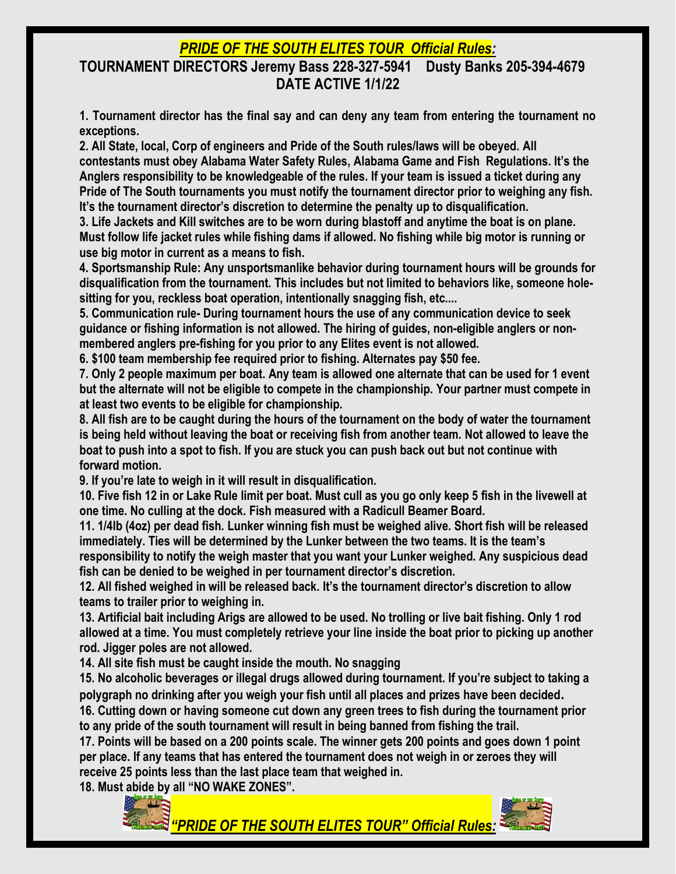# *PRIDE OF THE SOUTH ELITES TOUR Official Rules:*

#### **TOURNAMENT DIRECTORS Jeremy Bass 228-327-5941 Dusty Banks 205-394-4679 DATE ACTIVE 1/1/22**

**1. Tournament director has the final say and can deny any team from entering the tournament no exceptions.**

**2. All State, local, Corp of engineers and Pride of the South rules/laws will be obeyed. All contestants must obey Alabama Water Safety Rules, Alabama Game and Fish Regulations. It's the Anglers responsibility to be knowledgeable of the rules. If your team is issued a ticket during any Pride of The South tournaments you must notify the tournament director prior to weighing any fish. It's the tournament director's discretion to determine the penalty up to disqualification.**

**3. Life Jackets and Kill switches are to be worn during blastoff and anytime the boat is on plane. Must follow life jacket rules while fishing dams if allowed. No fishing while big motor is running or use big motor in current as a means to fish.**

**4. Sportsmanship Rule: Any unsportsmanlike behavior during tournament hours will be grounds for disqualification from the tournament. This includes but not limited to behaviors like, someone holesitting for you, reckless boat operation, intentionally snagging fish, etc....**

**5. Communication rule- During tournament hours the use of any communication device to seek guidance or fishing information is not allowed. The hiring of guides, non-eligible anglers or nonmembered anglers pre-fishing for you prior to any Elites event is not allowed.** 

**6. \$100 team membership fee required prior to fishing. Alternates pay \$50 fee.**

**7. Only 2 people maximum per boat. Any team is allowed one alternate that can be used for 1 event but the alternate will not be eligible to compete in the championship. Your partner must compete in at least two events to be eligible for championship.**

**8. All fish are to be caught during the hours of the tournament on the body of water the tournament is being held without leaving the boat or receiving fish from another team. Not allowed to leave the boat to push into a spot to fish. If you are stuck you can push back out but not continue with forward motion.**

**9. If you're late to weigh in it will result in disqualification.** 

**10. Five fish 12 in or Lake Rule limit per boat. Must cull as you go only keep 5 fish in the livewell at one time. No culling at the dock. Fish measured with a Radicull Beamer Board.**

**11. 1/4lb (4oz) per dead fish. Lunker winning fish must be weighed alive. Short fish will be released immediately. Ties will be determined by the Lunker between the two teams. It is the team's** 

**responsibility to notify the weigh master that you want your Lunker weighed. Any suspicious dead fish can be denied to be weighed in per tournament director's discretion.** 

**12. All fished weighed in will be released back. It's the tournament director's discretion to allow teams to trailer prior to weighing in.** 

**13. Artificial bait including Arigs are allowed to be used. No trolling or live bait fishing. Only 1 rod allowed at a time. You must completely retrieve your line inside the boat prior to picking up another rod. Jigger poles are not allowed.** 

**14. All site fish must be caught inside the mouth. No snagging**

**15. No alcoholic beverages or illegal drugs allowed during tournament. If you're subject to taking a polygraph no drinking after you weigh your fish until all places and prizes have been decided. 16. Cutting down or having someone cut down any green trees to fish during the tournament prior** 

**to any pride of the south tournament will result in being banned from fishing the trail.**

**17. Points will be based on a 200 points scale. The winner gets 200 points and goes down 1 point per place. If any teams that has entered the tournament does not weigh in or zeroes they will receive 25 points less than the last place team that weighed in.** 

**18. Must abide by all "NO WAKE ZONES".** 



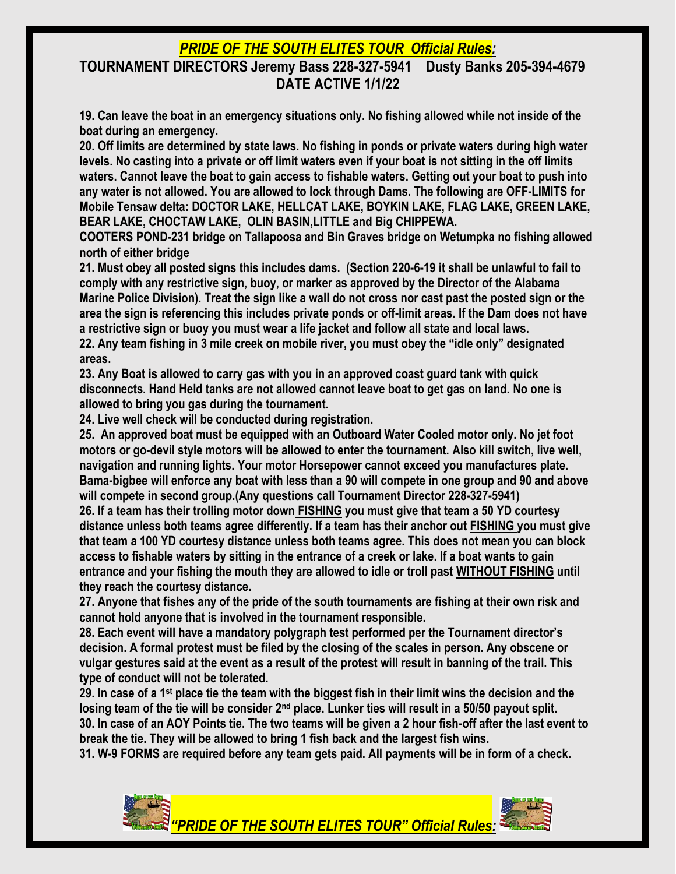## *PRIDE OF THE SOUTH ELITES TOUR Official Rules:*

#### **TOURNAMENT DIRECTORS Jeremy Bass 228-327-5941 Dusty Banks 205-394-4679 DATE ACTIVE 1/1/22**

**19. Can leave the boat in an emergency situations only. No fishing allowed while not inside of the boat during an emergency.**

**20. Off limits are determined by state laws. No fishing in ponds or private waters during high water levels. No casting into a private or off limit waters even if your boat is not sitting in the off limits waters. Cannot leave the boat to gain access to fishable waters. Getting out your boat to push into any water is not allowed. You are allowed to lock through Dams. The following are OFF-LIMITS for Mobile Tensaw delta: DOCTOR LAKE, HELLCAT LAKE, BOYKIN LAKE, FLAG LAKE, GREEN LAKE, BEAR LAKE, CHOCTAW LAKE, OLIN BASIN,LITTLE and Big CHIPPEWA.**

**COOTERS POND-231 bridge on Tallapoosa and Bin Graves bridge on Wetumpka no fishing allowed north of either bridge**

**21. Must obey all posted signs this includes dams. (Section 220-6-19 it shall be unlawful to fail to comply with any restrictive sign, buoy, or marker as approved by the Director of the Alabama Marine Police Division). Treat the sign like a wall do not cross nor cast past the posted sign or the area the sign is referencing this includes private ponds or off-limit areas. If the Dam does not have a restrictive sign or buoy you must wear a life jacket and follow all state and local laws.**

**22. Any team fishing in 3 mile creek on mobile river, you must obey the "idle only" designated areas.**

**23. Any Boat is allowed to carry gas with you in an approved coast guard tank with quick disconnects. Hand Held tanks are not allowed cannot leave boat to get gas on land. No one is allowed to bring you gas during the tournament.**

**24. Live well check will be conducted during registration.** 

**25. An approved boat must be equipped with an Outboard Water Cooled motor only. No jet foot motors or go-devil style motors will be allowed to enter the tournament. Also kill switch, live well, navigation and running lights. Your motor Horsepower cannot exceed you manufactures plate. Bama-bigbee will enforce any boat with less than a 90 will compete in one group and 90 and above will compete in second group.(Any questions call Tournament Director 228-327-5941)**

**26. If a team has their trolling motor down FISHING you must give that team a 50 YD courtesy distance unless both teams agree differently. If a team has their anchor out FISHING you must give that team a 100 YD courtesy distance unless both teams agree. This does not mean you can block access to fishable waters by sitting in the entrance of a creek or lake. If a boat wants to gain entrance and your fishing the mouth they are allowed to idle or troll past WITHOUT FISHING until they reach the courtesy distance.**

**27. Anyone that fishes any of the pride of the south tournaments are fishing at their own risk and cannot hold anyone that is involved in the tournament responsible.**

**28. Each event will have a mandatory polygraph test performed per the Tournament director's decision. A formal protest must be filed by the closing of the scales in person. Any obscene or vulgar gestures said at the event as a result of the protest will result in banning of the trail. This type of conduct will not be tolerated.**

**29. In case of a 1st place tie the team with the biggest fish in their limit wins the decision and the losing team of the tie will be consider 2nd place. Lunker ties will result in a 50/50 payout split. 30. In case of an AOY Points tie. The two teams will be given a 2 hour fish-off after the last event to break the tie. They will be allowed to bring 1 fish back and the largest fish wins.**

**31. W-9 FORMS are required before any team gets paid. All payments will be in form of a check.**